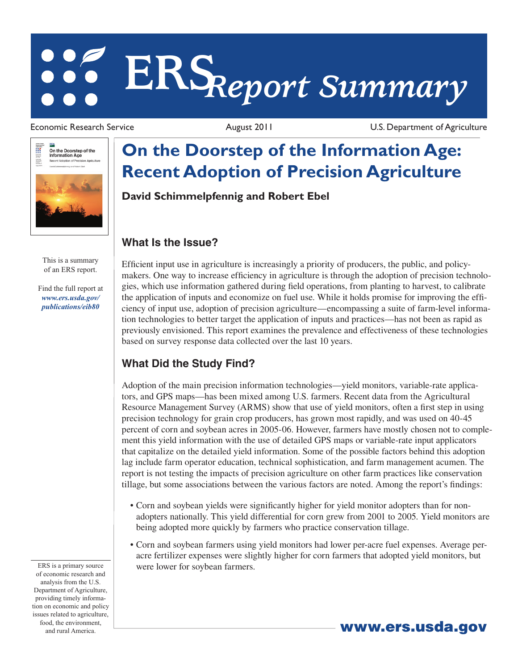# **ERS***Report Summary*



This is a summary of an ERS report.

Find the full report at *www.ers.usda.gov/ publications/eib80*

Economic Research Service **August 2011** August 2011 U.S. Department of Agriculture

## **On the Doorstep of the Information Age: Recent Adoption of Precision Agriculture**

**David Schimmelpfennig and Robert Ebel**

#### **What Is the Issue?**

Efficient input use in agriculture is increasingly a priority of producers, the public, and policymakers. One way to increase efficiency in agriculture is through the adoption of precision technologies, which use information gathered during field operations, from planting to harvest, to calibrate the application of inputs and economize on fuel use. While it holds promise for improving the efficiency of input use, adoption of precision agriculture—encompassing a suite of farm-level information technologies to better target the application of inputs and practices—has not been as rapid as previously envisioned. This report examines the prevalence and effectiveness of these technologies based on survey response data collected over the last 10 years.

### **What Did the Study Find?**

Adoption of the main precision information technologies—yield monitors, variable-rate applicators, and GPS maps—has been mixed among U.S. farmers. Recent data from the Agricultural Resource Management Survey (ARMS) show that use of yield monitors, often a first step in using precision technology for grain crop producers, has grown most rapidly, and was used on 40-45 percent of corn and soybean acres in 2005-06. However, farmers have mostly chosen not to complement this yield information with the use of detailed GPS maps or variable-rate input applicators that capitalize on the detailed yield information. Some of the possible factors behind this adoption lag include farm operator education, technical sophistication, and farm management acumen. The report is not testing the impacts of precision agriculture on other farm practices like conservation tillage, but some associations between the various factors are noted. Among the report's findings:

- • Corn and soybean yields were significantly higher for yield monitor adopters than for nonadopters nationally. This yield differential for corn grew from 2001 to 2005. Yield monitors are being adopted more quickly by farmers who practice conservation tillage.
- • Corn and soybean farmers using yield monitors had lower per-acre fuel expenses. Average peracre fertilizer expenses were slightly higher for corn farmers that adopted yield monitors, but were lower for soybean farmers.

ERS is a primary source of economic research and analysis from the U.S. Department of Agriculture, providing timely information on economic and policy issues related to agriculture, food, the environment,

<sub>and rural America<sup>ns</sup> and rural America<sup>ns</sup> and rural America<sup>ns</sup> and rural Americans and **and rural America**ns and **a**</sub>